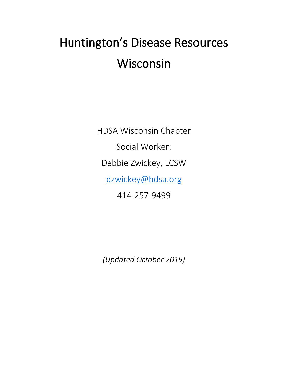# Huntington's Disease Resources Wisconsin

HDSA Wisconsin Chapter Social Worker: Debbie Zwickey, LCSW [dzwickey@hdsa.org](mailto:dzwickey@hdsa.org) 414-257-9499

*(Updated October 2019)*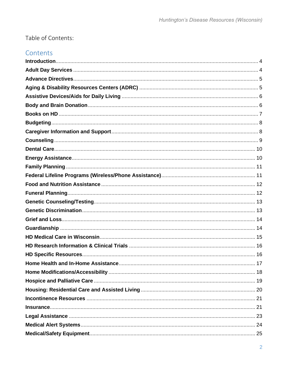# Table of Contents:

## Contents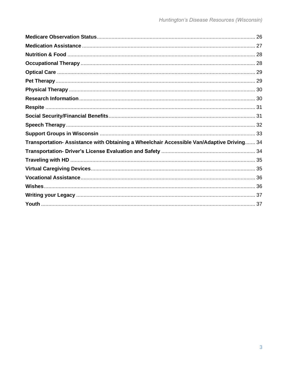| Transportation- Assistance with Obtaining a Wheelchair Accessible Van/Adaptive Driving 34 |  |
|-------------------------------------------------------------------------------------------|--|
|                                                                                           |  |
|                                                                                           |  |
|                                                                                           |  |
|                                                                                           |  |
|                                                                                           |  |
|                                                                                           |  |
|                                                                                           |  |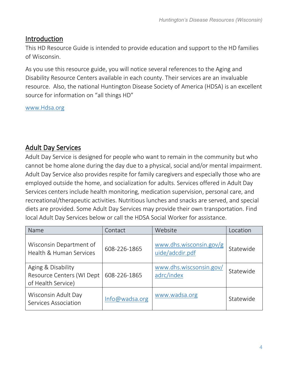## <span id="page-3-0"></span>Introduction

This HD Resource Guide is intended to provide education and support to the HD families of Wisconsin.

As you use this resource guide, you will notice several references to the Aging and Disability Resource Centers available in each county. Their services are an invaluable resource. Also, the national Huntington Disease Society of America (HDSA) is an excellent source for information on "all things HD"

[www.Hdsa.org](http://www.hdsa.org/)

# <span id="page-3-1"></span>Adult Day Services

Adult Day Service is designed for people who want to remain in the community but who cannot be home alone during the day due to a physical, social and/or mental impairment. Adult Day Service also provides respite for family caregivers and especially those who are employed outside the home, and socialization for adults. Services offered in Adult Day Services centers include health monitoring, medication supervision, personal care, and recreational/therapeutic activities. Nutritious lunches and snacks are served, and special diets are provided. Some Adult Day Services may provide their own transportation. Find local Adult Day Services below or call the HDSA Social Worker for assistance.

| Name                                                                  | Contact        | Website                                    | Location  |
|-----------------------------------------------------------------------|----------------|--------------------------------------------|-----------|
| Wisconsin Department of<br>Health & Human Services                    | 608-226-1865   | www.dhs.wisconsin.gov/g<br>uide/adcdir.pdf | Statewide |
| Aging & Disability<br>Resource Centers (WI Dept<br>of Health Service) | 608-226-1865   | www.dhs.wiscsonsin.gov/<br>adrc/index      | Statewide |
| Wisconsin Adult Day<br>Services Association                           | Info@wadsa.org | www.wadsa.org                              | Statewide |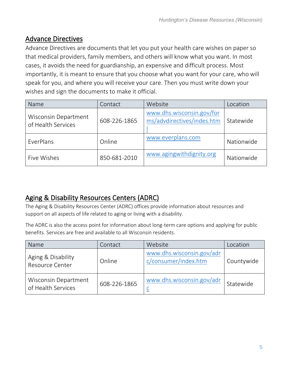# <span id="page-4-0"></span>Advance Directives

Advance Directives are documents that let you put your health care wishes on paper so that medical providers, family members, and others will know what you want. In most cases, it avoids the need for guardianship, an expensive and difficult process. Most importantly, it is meant to ensure that you choose what you want for your care, who will speak for you, and where you will receive your care. Then you must write down your wishes and sign the documents to make it official.

| Name                                       | Contact      | Website                                                 | Location   |
|--------------------------------------------|--------------|---------------------------------------------------------|------------|
| Wisconsin Department<br>of Health Services | 608-226-1865 | www.dhs.wisconsin.gov/for<br>ms/advdirectives/indes.htm | Statewide  |
| EverPlans                                  | Online       | www.everplans.com                                       | Nationwide |
| Five Wishes                                | 850-681-2010 | www.agingwithdignity.org                                | Nationwide |

# <span id="page-4-1"></span>Aging & Disability Resources Centers (ADRC)

The Aging & Disability Resources Center (ADRC) offices provide information about resources and support on all aspects of life related to aging or living with a disability.

The ADRC is also the access point for information about long-term care options and applying for public benefits. Services are free and available to all Wisconsin residents.

| Name                                         | Contact      | Website                                           | Location   |
|----------------------------------------------|--------------|---------------------------------------------------|------------|
| Aging & Disability<br><b>Resource Center</b> | Online       | www.dhs.wisconsin.gov/adr<br>c/consumer/index.htm | Countywide |
| Wisconsin Department<br>of Health Services   | 608-226-1865 | www.dhs.wisconsin.gov/adr                         | Statewide  |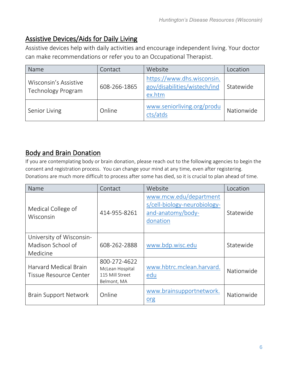# <span id="page-5-0"></span>Assistive Devices/Aids for Daily Living

Assistive devices help with daily activities and encourage independent living. Your doctor can make recommendations or refer you to an Occupational Therapist.

| Name                                        | Contact      | Website                                                              | Location   |
|---------------------------------------------|--------------|----------------------------------------------------------------------|------------|
| Wisconsin's Assistive<br>Technology Program | 608-266-1865 | https://www.dhs.wisconsin.<br>gov/disabilities/wistech/ind<br>ex.htm | Statewide  |
| Senior Living                               | Online       | www.seniorliving.org/produ<br>cts/atds                               | Nationwide |

## <span id="page-5-1"></span>Body and Brain Donation

If you are contemplating body or brain donation, please reach out to the following agencies to begin the consent and registration process. You can change your mind at any time, even after registering. Donations are much more difficult to process after some has died, so it is crucial to plan ahead of time.

| Name                                                      | Contact                                                           | Website                                                                                 | Location   |
|-----------------------------------------------------------|-------------------------------------------------------------------|-----------------------------------------------------------------------------------------|------------|
| Medical College of<br>Wisconsin                           | 414-955-8261                                                      | www.mcw.edu/department<br>s/cell-biology-neurobiology-<br>and-anatomy/body-<br>donation | Statewide  |
| University of Wisconsin-<br>Madison School of<br>Medicine | 608-262-2888                                                      | www.bdp.wisc.edu                                                                        | Statewide  |
| <b>Harvard Medical Brain</b><br>Tissue Resource Center    | 800-272-4622<br>McLean Hospital<br>115 Mill Street<br>Belmont, MA | www.hbtrc.mclean.harvard.<br>edu                                                        | Nationwide |
| <b>Brain Support Network</b>                              | Online                                                            | www.brainsupportnetwork.<br>org                                                         | Nationwide |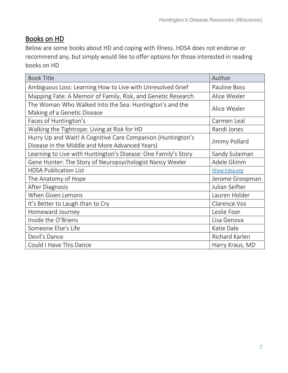# <span id="page-6-0"></span>Books on HD

Below are some books about HD and coping with illness. HDSA does not endorse or recommend any, but simply would like to offer options for those interested in reading books on HD

| <b>Book Title</b>                                                                                             | Author              |
|---------------------------------------------------------------------------------------------------------------|---------------------|
| Ambiguous Loss: Learning How to Live with Unresolved Grief                                                    | <b>Pauline Boss</b> |
| Mapping Fate: A Memoir of Family, Risk, and Genetic Research                                                  | Alice Wexler        |
| The Woman Who Walked Into the Sea: Huntington's and the<br>Making of a Genetic Disease                        | Alice Wexler        |
| Faces of Huntington's                                                                                         | Carmen Leal         |
| Walking the Tightrope: Living at Risk for HD                                                                  | Randi Jones         |
| Hurry Up and Wait! A Cognitive Care Companion (Huntington's<br>Disease in the Middle and More Advanced Years) | Jimmy Pollard       |
| Learning to Live with Huntington's Disease: One Family's Story                                                | Sandy Sulaiman      |
| Gene Hunter: The Story of Neuropsychologist Nancy Wexler                                                      | Adele Glimm         |
| <b>HDSA Publication List</b>                                                                                  | Www.hdsa.org        |
| The Anatomy of Hope                                                                                           | Jerome Groopman     |
| After Diagnosis                                                                                               | Julian Seifter      |
| When Given Lemons                                                                                             | Lauren Holder       |
| It's Better to Laugh than to Cry                                                                              | Clarence Vos        |
| Homeward Journey                                                                                              | Leslie Foor         |
| Inside the O'Briens                                                                                           | Lisa Genova         |
| Someone Else's Life                                                                                           | Katie Dale          |
| Devil's Dance                                                                                                 | Richard Karlen      |
| Could I Have This Dance                                                                                       | Harry Kraus, MD     |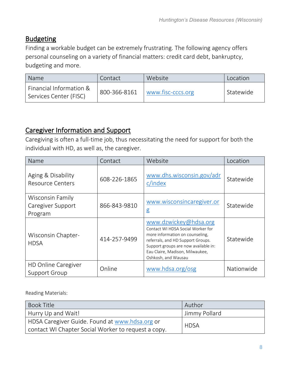## <span id="page-7-0"></span>**Budgeting**

Finding a workable budget can be extremely frustrating. The following agency offers personal counseling on a variety of financial matters: credit card debt, bankruptcy, budgeting and more.

| Name                                              | Contact      | Website           | Location  |
|---------------------------------------------------|--------------|-------------------|-----------|
| Financial Information &<br>Services Center (FISC) | 800-366-8161 | www.fisc-cccs.org | Statewide |

# <span id="page-7-1"></span>Caregiver Information and Support

Caregiving is often a full-time job, thus necessitating the need for support for both the individual with HD, as well as, the caregiver.

| Name                                               | Contact      | Website                                                                                                                                                                                                                              | Location   |
|----------------------------------------------------|--------------|--------------------------------------------------------------------------------------------------------------------------------------------------------------------------------------------------------------------------------------|------------|
| Aging & Disability<br><b>Resource Centers</b>      | 608-226-1865 | www.dhs.wisconsin.gov/adr<br>c/index                                                                                                                                                                                                 | Statewide  |
| Wisconsin Family<br>Caregiver Support<br>Program   | 866-843-9810 | www.wisconsincaregiver.or<br>g                                                                                                                                                                                                       | Statewide  |
| <b>Wisconsin Chapter-</b><br><b>HDSA</b>           | 414-257-9499 | www.dzwickey@hdsa.org<br>Contact WI HDSA Social Worker for<br>more information on counseling,<br>referrals, and HD Support Groups.<br>Support groups are now available in:<br>Eau Claire, Madison, Milwaukee,<br>Oshkosh, and Wausau | Statewide  |
| <b>HD Online Caregiver</b><br><b>Support Group</b> | Online       | www.hdsa.org/osg                                                                                                                                                                                                                     | Nationwide |

Reading Materials:

| <b>Book Title</b>                                   | Author        |
|-----------------------------------------------------|---------------|
| Hurry Up and Wait!                                  | Jimmy Pollard |
| HDSA Caregiver Guide. Found at www.hdsa.org or      | <b>HDSA</b>   |
| contact WI Chapter Social Worker to request a copy. |               |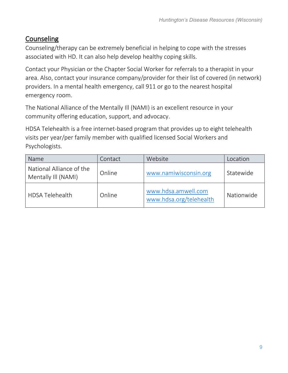# <span id="page-8-0"></span>**Counseling**

Counseling/therapy can be extremely beneficial in helping to cope with the stresses associated with HD. It can also help develop healthy coping skills.

Contact your Physician or the Chapter Social Worker for referrals to a therapist in your area. Also, contact your insurance company/provider for their list of covered (in network) providers. In a mental health emergency, call 911 or go to the nearest hospital emergency room.

The National Alliance of the Mentally Ill (NAMI) is an excellent resource in your community offering education, support, and advocacy.

HDSA Telehealth is a free internet-based program that provides up to eight telehealth visits per year/per family member with qualified licensed Social Workers and Psychologists.

| Name                                            | Contact | Website                                        | Location   |
|-------------------------------------------------|---------|------------------------------------------------|------------|
| National Alliance of the<br>Mentally Ill (NAMI) | Online  | www.namiwisconsin.org                          | Statewide  |
| <b>HDSA Telehealth</b>                          | Online  | www.hdsa.amwell.com<br>www.hdsa.org/telehealth | Nationwide |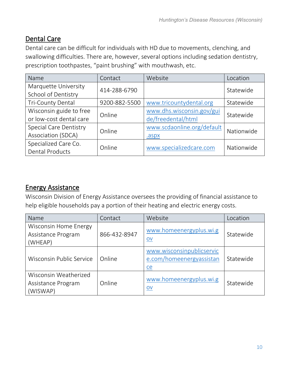# <span id="page-9-0"></span>Dental Care

Dental care can be difficult for individuals with HD due to movements, clenching, and swallowing difficulties. There are, however, several options including sedation dentistry, prescription toothpastes, "paint brushing" with mouthwash, etc.

| Name                          | Contact       | Website                    | Location   |
|-------------------------------|---------------|----------------------------|------------|
| Marquette University          | 414-288-6790  |                            | Statewide  |
| School of Dentistry           |               |                            |            |
| Tri-County Dental             | 9200-882-5500 | www.tricountydental.org    | Statewide  |
| Wisconsin guide to free       | Online        | www.dhs.wisconsin.gov/gui  | Statewide  |
| or low-cost dental care       |               | de/freedental/html         |            |
| <b>Special Care Dentistry</b> | Online        | www.scdaonline.org/default | Nationwide |
| Association (SDCA)            |               | .aspx                      |            |
| Specialized Care Co.          | Online        | www.specializedcare.com    | Nationwide |
| <b>Dental Products</b>        |               |                            |            |

# <span id="page-9-1"></span>Energy Assistance

Wisconsin Division of Energy Assistance oversees the providing of financial assistance to help eligible households pay a portion of their heating and electric energy costs.

| Name                                                          | Contact      | Website                                                     | Location  |
|---------------------------------------------------------------|--------------|-------------------------------------------------------------|-----------|
| <b>Wisconsin Home Energy</b><br>Assistance Program<br>(WHEAP) | 866-432-8947 | www.homeenergyplus.wi.g<br>$ov$                             | Statewide |
| Wisconsin Public Service                                      | Online       | www.wisconsinpublicservic<br>e.com/homeenergyassistan<br>ce | Statewide |
| Wisconsin Weatherized<br>Assistance Program<br>(WISWAP)       | Online       | www.homeenergyplus.wi.g<br>$\underline{\mathsf{ov}}$        | Statewide |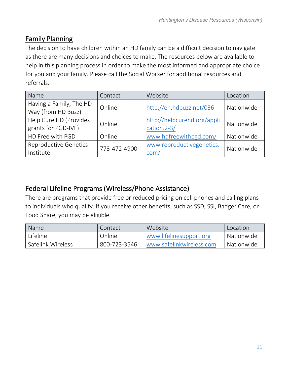# <span id="page-10-0"></span>Family Planning

The decision to have children within an HD family can be a difficult decision to navigate as there are many decisions and choices to make. The resources below are available to help in this planning process in order to make the most informed and appropriate choice for you and your family. Please call the Social Worker for additional resources and referrals.

| Name                                          | Contact      | Website                                       | Location   |
|-----------------------------------------------|--------------|-----------------------------------------------|------------|
| Having a Family, The HD<br>Way (from HD Buzz) | Online       | http://en.hdbuzz.net/036                      | Nationwide |
| Help Cure HD (Provides<br>grants for PGD-IVF) | Online       | http://helpcurehd.org/appli<br>cation. $2-3/$ | Nationwide |
| HD Free with PGD                              | Online       | www.hdfreewithpgd.com/                        | Nationwide |
| <b>Reproductive Genetics</b><br>Institute     | 773-472-4900 | www.reproductivegenetics.<br>com/             | Nationwide |

# <span id="page-10-1"></span>Federal Lifeline Programs (Wireless/Phone Assistance)

There are programs that provide free or reduced pricing on cell phones and calling plans to individuals who qualify. If you receive other benefits, such as SSD, SSI, Badger Care, or Food Share, you may be eligible.

| Name              | Contact      | Website                  | Location   |
|-------------------|--------------|--------------------------|------------|
| Lifeline          | Online       | www.lifelinesupport.org  | Nationwide |
| Safelink Wireless | 800-723-3546 | www.safelinkwireless.com | Nationwide |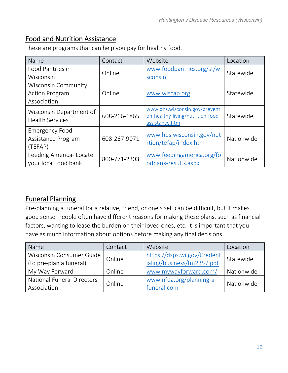# <span id="page-11-0"></span>Food and Nutrition Assistance

| Name                                                        | Contact      | Website                                                                               | Location   |
|-------------------------------------------------------------|--------------|---------------------------------------------------------------------------------------|------------|
| Food Pantries in<br>Wisconsin                               | Online       | www.foodpantries.org/st/wi<br>sconsin                                                 | Statewide  |
| Wisconsin Community<br><b>Action Program</b><br>Association | Online       | www.wiscap.org                                                                        | Statewide  |
| Wisconsin Department of<br><b>Health Services</b>           | 608-266-1865 | www.dhs.wisconsin.gov/preventi<br>on-healthy-living/nutrition-food-<br>assistance.htm | Statewide  |
| <b>Emergency Food</b><br>Assistance Program<br>(TEFAP)      | 608-267-9071 | www.hds.wisconsin.gov/nut<br>rtion/tefap/index.htm                                    | Nationwide |
| Feeding America-Locate<br>your local food bank              | 800-771-2303 | www.feedingamerica.org/fo<br>odbank-results.aspx                                      | Nationwide |

These are programs that can help you pay for healthy food.

# <span id="page-11-1"></span>Funeral Planning

Pre-planning a funeral for a relative, friend, or one's self can be difficult, but it makes good sense. People often have different reasons for making these plans, such as financial factors, wanting to lease the burden on their loved ones, etc. It is important that you have as much information about options before making any final decisions.

| Name                              | Contact | Website                     | Location   |
|-----------------------------------|---------|-----------------------------|------------|
| Wisconsin Consumer Guide          | Online  | https://dsps.wi.gov/Credent | Statewide  |
| (to pre-plan a funeral)           |         | ialing/business/fm2357.pdf  |            |
| My Way Forward                    | Online  | www.mywayforward.com/       | Nationwide |
| <b>National Funeral Directors</b> | Online  | www.nfda.org/planning-a-    |            |
| Association                       |         | funeral.com                 | Nationwide |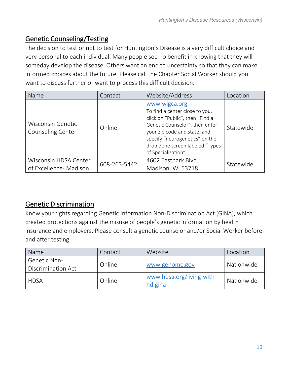# <span id="page-12-0"></span>Genetic Counseling/Testing

The decision to test or not to test for Huntington's Disease is a very difficult choice and very personal to each individual. Many people see no benefit in knowing that they will someday develop the disease. Others want an end to uncertainty so that they can make informed choices about the future. Please call the Chapter Social Worker should you want to discuss further or want to process this difficult decision.

| Name                                            | Contact      | Website/Address                                                                                                                                                                                                                                 | Location  |
|-------------------------------------------------|--------------|-------------------------------------------------------------------------------------------------------------------------------------------------------------------------------------------------------------------------------------------------|-----------|
| <b>Wisconsin Genetic</b><br>Counseling Center   | Online       | www.wigca.org<br>To find a center close to you,<br>click on "Public", then "Find a<br>Genetic Counselor", then enter<br>your zip code and state, and<br>specify "neurogenetics" on the<br>drop done screen labeled "Types<br>of Specialization" | Statewide |
| Wisconsin HDSA Center<br>of Excellence- Madison | 608-263-5442 | 4602 Eastpark Blvd.<br>Madison, WI 53718                                                                                                                                                                                                        | Statewide |

# <span id="page-12-1"></span>Genetic Discrimination

Know your rights regarding Genetic Information Non-Discrimination Act (GINA), which created protections against the misuse of people's genetic information by health insurance and employers. Please consult a genetic counselor and/or Social Worker before and after testing.

| Name                                      | Contact | Website                              | Location   |
|-------------------------------------------|---------|--------------------------------------|------------|
| <b>Genetic Non-</b><br>Discrimination Act | Online  | www.genome.gov                       | Nationwide |
| <b>HDSA</b>                               | Online  | www.hdsa.org/living-with-<br>hd.gina | Nationwide |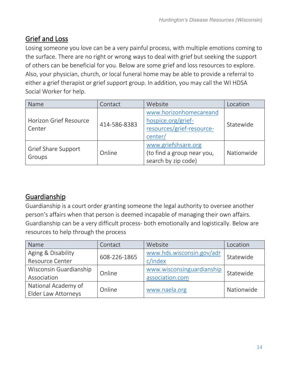# <span id="page-13-0"></span>Grief and Loss

Losing someone you love can be a very painful process, with multiple emotions coming to the surface. There are no right or wrong ways to deal with grief but seeking the support of others can be beneficial for you. Below are some grief and loss resources to explore. Also, your physician, church, or local funeral home may be able to provide a referral to either a grief therapist or grief support group. In addition, you may call the WI HDSA Social Worker for help.

| Name                             | Contact      | Website                                                                              | Location   |
|----------------------------------|--------------|--------------------------------------------------------------------------------------|------------|
| Horizon Grief Resource<br>Center | 414-586-8383 | www.horizonhomecareand<br>hospice.org/grief-<br>resources/grief-resource-<br>center/ | Statewide  |
| Grief Share Support<br>Groups    | Online       | www.griefshsare.org<br>(to find a group near you,<br>search by zip code)             | Nationwide |

# <span id="page-13-1"></span>Guardianship

Guardianship is a court order granting someone the legal authority to oversee another person's affairs when that person is deemed incapable of managing their own affairs. Guardianship can be a very difficult process- both emotionally and logistically. Below are resources to help through the process

| Name                   | Contact      | Website                   | Location   |
|------------------------|--------------|---------------------------|------------|
| Aging & Disability     | 608-226-1865 | www.hds.wisconsin.gov/adr | Statewide  |
| Resource Center        |              | c/index                   |            |
| Wisconsin Guardianship | Online       | www.wisconsinguardianship | Statewide  |
| Association            |              | association.com           |            |
| National Academy of    | Online       |                           | Nationwide |
| Elder Law Attorneys    |              | www.naela.org             |            |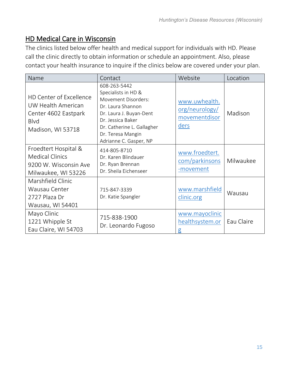## <span id="page-14-0"></span>HD Medical Care in Wisconsin

The clinics listed below offer health and medical support for individuals with HD. Please call the clinic directly to obtain information or schedule an appointment. Also, please contact your health insurance to inquire if the clinics below are covered under your plan.

| Name                                                                                                             | Contact                                                                                                                                                                                                      | Website                                                  | Location   |
|------------------------------------------------------------------------------------------------------------------|--------------------------------------------------------------------------------------------------------------------------------------------------------------------------------------------------------------|----------------------------------------------------------|------------|
| <b>HD Center of Excellence</b><br>UW Health American<br>Center 4602 Eastpark<br><b>Blvd</b><br>Madison, WI 53718 | 608-263-5442<br>Specialists in HD &<br>Movement Disorders:<br>Dr. Laura Shannon<br>Dr. Laura J. Buyan-Dent<br>Dr. Jessica Baker<br>Dr. Catherine L. Gallagher<br>Dr. Teresa Mangin<br>Adrianne C. Gasper, NP | www.uwhealth.<br>org/neurology/<br>movementdisor<br>ders | Madison    |
| Froedtert Hospital &<br><b>Medical Clinics</b><br>9200 W. Wisconsin Ave<br>Milwaukee, WI 53226                   | 414-805-8710<br>Dr. Karen Blindauer<br>Dr. Ryan Brennan<br>Dr. Sheila Eichenseer                                                                                                                             | www.froedtert.<br>com/parkinsons<br>-movement            | Milwaukee  |
| Marshfield Clinic<br>Wausau Center<br>2727 Plaza Dr<br>Wausau, WI 54401                                          | 715-847-3339<br>Dr. Katie Spangler                                                                                                                                                                           | www.marshfield<br>clinic.org                             | Wausau     |
| Mayo Clinic<br>1221 Whipple St<br>Eau Claire, WI 54703                                                           | 715-838-1900<br>Dr. Leonardo Fugoso                                                                                                                                                                          | www.mayoclinic<br>healthsystem.or<br>$\mathsf g$         | Eau Claire |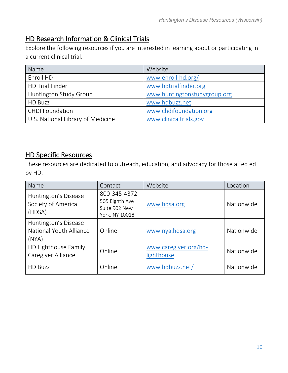# <span id="page-15-0"></span>HD Research Information & Clinical Trials

Explore the following resources if you are interested in learning about or participating in a current clinical trial.

| Name                              | Website                      |
|-----------------------------------|------------------------------|
| Enroll HD                         | www.enroll-hd.org/           |
| <b>HD Trial Finder</b>            | www.hdtrialfinder.org        |
| Huntington Study Group            | www.huntingtonstudygroup.org |
| HD Buzz                           | www.hdbuzz.net               |
| <b>CHDI Foundation</b>            | www.chdifoundation.org       |
| U.S. National Library of Medicine | www.clinicaltrials.gov       |

## <span id="page-15-1"></span>HD Specific Resources

These resources are dedicated to outreach, education, and advocacy for those affected by HD.

| Name                                                     | Contact                                                           | Website                             | Location   |
|----------------------------------------------------------|-------------------------------------------------------------------|-------------------------------------|------------|
| Huntington's Disease<br>Society of America<br>(HDSA)     | 800-345-4372<br>505 Eighth Ave<br>Suite 902 New<br>York, NY 10018 | www.hdsa.org                        | Nationwide |
| Huntington's Disease<br>National Youth Alliance<br>(NYA) | Online                                                            | www.nya.hdsa.org                    | Nationwide |
| HD Lighthouse Family<br>Caregiver Alliance               | Online                                                            | www.caregiver.org/hd-<br>lighthouse | Nationwide |
| <b>HD Buzz</b>                                           | Online                                                            | www.hdbuzz.net/                     | Nationwide |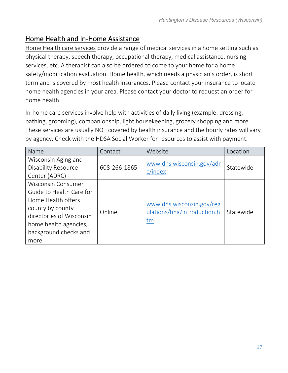## <span id="page-16-0"></span>Home Health and In-Home Assistance

Home Health care services provide a range of medical services in a home setting such as physical therapy, speech therapy, occupational therapy, medical assistance, nursing services, etc. A therapist can also be ordered to come to your home for a home safety/modification evaluation. Home health, which needs a physician's order, is short term and is covered by most health insurances. Please contact your insurance to locate home health agencies in your area. Please contact your doctor to request an order for home health.

In-home care services involve help with activities of daily living (example: dressing, bathing, grooming), companionship, light housekeeping, grocery shopping and more. These services are usually NOT covered by health insurance and the hourly rates will vary by agency. Check with the HDSA Social Worker for resources to assist with payment.

| Name                                                                                                                                                                                   | Contact      | Website                                                        | Location  |
|----------------------------------------------------------------------------------------------------------------------------------------------------------------------------------------|--------------|----------------------------------------------------------------|-----------|
| Wisconsin Aging and<br><b>Disability Resource</b><br>Center (ADRC)                                                                                                                     | 608-266-1865 | www.dhs.wisconsin.gov/adr<br>c/index                           | Statewide |
| <b>Wisconsin Consumer</b><br>Guide to Health Care for<br>Home Health offers<br>county by county<br>directories of Wisconsin<br>home health agencies,<br>background checks and<br>more. | Online       | www.dhs.wisconsin.gov/reg<br>ulations/hha/introduction.h<br>tm | Statewide |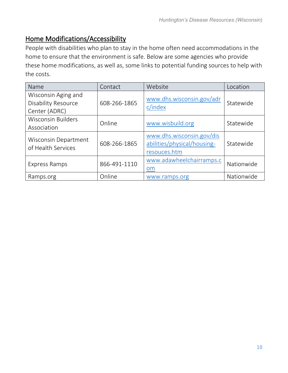# <span id="page-17-0"></span>Home Modifications/Accessibility

People with disabilities who plan to stay in the home often need accommodations in the home to ensure that the environment is safe. Below are some agencies who provide these home modifications, as well as, some links to potential funding sources to help with the costs.

| Name                                                               | Contact      | Website                                                                  | Location   |
|--------------------------------------------------------------------|--------------|--------------------------------------------------------------------------|------------|
| Wisconsin Aging and<br><b>Disability Resource</b><br>Center (ADRC) | 608-266-1865 | www.dhs.wisconsin.gov/adr<br>c/index                                     | Statewide  |
| <b>Wisconsin Builders</b><br>Association                           | Online       | www.wisbuild.org                                                         | Statewide  |
| Wisconsin Department<br>of Health Services                         | 608-266-1865 | www.dhs.wisconsin.gov/dis<br>abilities/physical/housing-<br>resouces.htm | Statewide  |
| Express Ramps                                                      | 866-491-1110 | www.adawheelchairramps.c<br>om                                           | Nationwide |
| Ramps.org                                                          | Online       | www.ramps.org                                                            | Nationwide |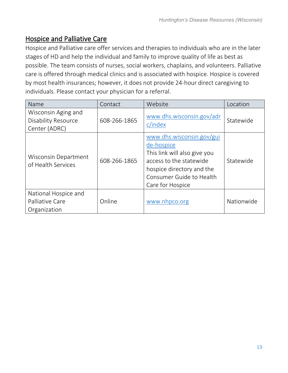# <span id="page-18-0"></span>Hospice and Palliative Care

Hospice and Palliative care offer services and therapies to individuals who are in the later stages of HD and help the individual and family to improve quality of life as best as possible. The team consists of nurses, social workers, chaplains, and volunteers. Palliative care is offered through medical clinics and is associated with hospice. Hospice is covered by most health insurances; however, it does not provide 24-hour direct caregiving to individuals. Please contact your physician for a referral.

| Name                                                               | Contact      | Website                                                                                                                                                                         | Location   |
|--------------------------------------------------------------------|--------------|---------------------------------------------------------------------------------------------------------------------------------------------------------------------------------|------------|
| Wisconsin Aging and<br><b>Disability Resource</b><br>Center (ADRC) | 608-266-1865 | www.dhs.wisconsin.gov/adr<br>c/index                                                                                                                                            | Statewide  |
| Wisconsin Department<br>of Health Services                         | 608-266-1865 | www.dhs.wisconsin.gov/gui<br>de-hospice<br>This link will also give you<br>access to the statewide<br>hospice directory and the<br>Consumer Guide to Health<br>Care for Hospice | Statewide  |
| National Hospice and<br>Palliative Care<br>Organization            | Online       | www.nhpco.org                                                                                                                                                                   | Nationwide |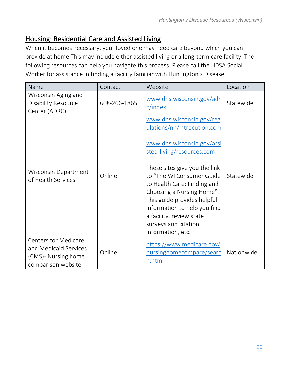## <span id="page-19-0"></span>Housing: Residential Care and Assisted Living

When it becomes necessary, your loved one may need care beyond which you can provide at home This may include either assisted living or a long-term care facility. The following resources can help you navigate this process. Please call the HDSA Social Worker for assistance in finding a facility familiar with Huntington's Disease.

| Name                                                                                              | Contact      | Website                                                                                                                                                                                                                                                                                                                                                                               | Location   |
|---------------------------------------------------------------------------------------------------|--------------|---------------------------------------------------------------------------------------------------------------------------------------------------------------------------------------------------------------------------------------------------------------------------------------------------------------------------------------------------------------------------------------|------------|
| Wisconsin Aging and<br><b>Disability Resource</b><br>Center (ADRC)                                | 608-266-1865 | www.dhs.wisconsin.gov/adr<br>c/index                                                                                                                                                                                                                                                                                                                                                  | Statewide  |
| Wisconsin Department<br>of Health Services                                                        | Online       | www.dhs.wisconsin.gov/reg<br>ulations/nh/introcution.com<br>www.dhs.wisconsin.gov/assi<br>sted-living/resources.com<br>These sites give you the link<br>to "The WI Consumer Guide<br>to Health Care: Finding and<br>Choosing a Nursing Home".<br>This guide provides helpful<br>information to help you find<br>a facility, review state<br>surveys and citation<br>information, etc. | Statewide  |
| <b>Centers for Medicare</b><br>and Medicaid Services<br>(CMS)- Nursing home<br>comparison website | Online       | https://www.medicare.gov/<br>nursinghomecompare/searc<br>h.html                                                                                                                                                                                                                                                                                                                       | Nationwide |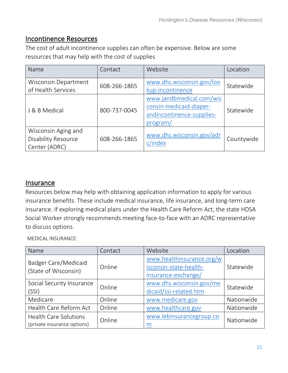### <span id="page-20-0"></span>Incontinence Resources

The cost of adult incontinence supplies can often be expensive. Below are some resources that may help with the cost of supplies

| Name                                                               | Contact      | Website                                                                                      | Location   |
|--------------------------------------------------------------------|--------------|----------------------------------------------------------------------------------------------|------------|
| Wisconsin Department<br>of Health Services                         | 608-266-1865 | www.dhs.wisconsin.gov/loo<br>kup-incontinence                                                | Statewide  |
| J & B Medical                                                      | 800-737-0045 | www.jandbmedical.com/wis<br>consin-medicaid-diaper-<br>andincontinence-supplies-<br>program/ | Statewide  |
| Wisconsin Aging and<br><b>Disability Resource</b><br>Center (ADRC) | 608-266-1865 | www.dhs.wisconsin.gov/adr<br>c/index                                                         | Countywide |

#### <span id="page-20-1"></span>**Insurance**

Resources below may help with obtaining application information to apply for various insurance benefits. These include medical insurance, life insurance, and long-term care insurance. If exploring medical plans under the Health Care Reform Act, the state HDSA Social Worker strongly recommends meeting face-to-face with an ADRC representative to discuss options.

MEDICAL INSURANCE:

| Name                                                        | Contact | Website                                                                    | Location   |
|-------------------------------------------------------------|---------|----------------------------------------------------------------------------|------------|
| <b>Badger Care/Medicaid</b><br>(State of Wisconsin)         | Online  | www.healthinsurance.org/w<br>isconsin-state-health-<br>insurance-exchange/ | Statewide  |
| Social Security Insurance<br>(SSI)                          | Online  | www.dhs.wisconsin.gov/me<br>dicaid/ssi-related.htm                         | Statewide  |
| Medicare                                                    | Online  | www.medicare.gov                                                           | Nationwide |
| Health Care Reform Act                                      | Online  | www.healthcare.gov                                                         | Nationwide |
| <b>Health Care Solutions</b><br>(private insurance options) | Online  | www.lebinsurancegroup.co<br>m                                              | Nationwide |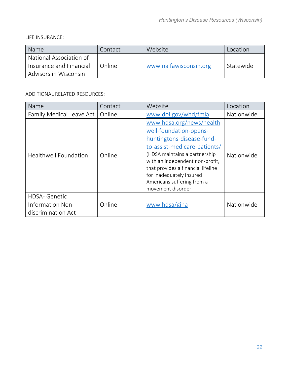LIFE INSURANCE:

| <b>Name</b>                                      | Contact | Website                | Location  |
|--------------------------------------------------|---------|------------------------|-----------|
| National Association of                          |         |                        |           |
| Insurance and Financial<br>Advisors in Wisconsin | Online  | www.naifawisconsin.org | Statewide |

#### ADDITIONAL RELATED RESOURCES:

| Name                                                           | Contact | Website                                                                                                                                                                                                                                                                                                  | Location   |
|----------------------------------------------------------------|---------|----------------------------------------------------------------------------------------------------------------------------------------------------------------------------------------------------------------------------------------------------------------------------------------------------------|------------|
| Family Medical Leave Act                                       | Online  | www.dol.gov/whd/fmla                                                                                                                                                                                                                                                                                     | Nationwide |
| <b>Healthwell Foundation</b>                                   | Online  | www.hdsa.org/news/health<br>well-foundation-opens-<br>huntingtons-disease-fund-<br>to-assist-medicare-patients/<br>(HDSA maintains a partnership<br>with an independent non-profit,<br>that provides a financial lifeline<br>for inadequately insured<br>Americans suffering from a<br>movement disorder | Nationwide |
| <b>HDSA- Genetic</b><br>Information Non-<br>discrimination Act | Online  | www.hdsa/gina                                                                                                                                                                                                                                                                                            | Nationwide |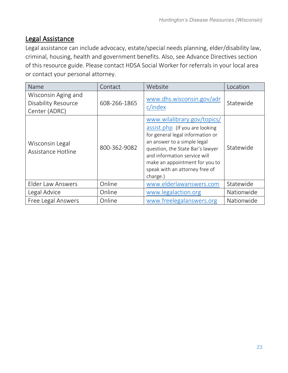# <span id="page-22-0"></span>Legal Assistance

Legal assistance can include advocacy, estate/special needs planning, elder/disability law, criminal, housing, health and government benefits. Also, see Advance Directives section of this resource guide. Please contact HDSA Social Worker for referrals in your local area or contact your personal attorney.

| Name                                                               | Contact      | Website                                                                                                                                                                                                                                                                              | Location   |
|--------------------------------------------------------------------|--------------|--------------------------------------------------------------------------------------------------------------------------------------------------------------------------------------------------------------------------------------------------------------------------------------|------------|
| Wisconsin Aging and<br><b>Disability Resource</b><br>Center (ADRC) | 608-266-1865 | www.dhs.wisconsin.gov/adr<br>c/index                                                                                                                                                                                                                                                 | Statewide  |
| Wisconsin Legal<br>Assistance Hotline                              | 800-362-9082 | www.wilalibrary.gov/topics/<br>assist.php (If you are looking<br>for general legal information or<br>an answer to a simple legal<br>question, the State Bar's lawyer<br>and information service will<br>make an appointment for you to<br>speak with an attorney free of<br>charge.) | Statewide  |
| <b>Elder Law Answers</b>                                           | Online       | www.elderlawanswers.com                                                                                                                                                                                                                                                              | Statewide  |
| Legal Advice                                                       | Online       | www.legalaction.org                                                                                                                                                                                                                                                                  | Nationwide |
| Free Legal Answers                                                 | Online       | www.freelegalanswers.org                                                                                                                                                                                                                                                             | Nationwide |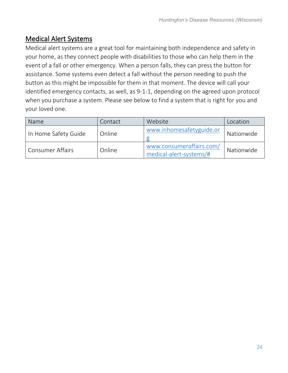# <span id="page-23-0"></span>Medical Alert Systems

Medical alert systems are a great tool for maintaining both independence and safety in your home, as they connect people with disabilities to those who can help them in the event of a fall or other emergency. When a person falls, they can press the button for assistance. Some systems even detect a fall without the person needing to push the button as this might be impossible for them in that moment. The device will call your identified emergency contacts, as well, as 9-1-1, depending on the agreed upon protocol when you purchase a system. Please see below to find a system that is right for you and your loved one.

| Name                    | Contact | Website                                             | Location   |
|-------------------------|---------|-----------------------------------------------------|------------|
| In Home Safety Guide    | Online  | www.inhomesafetyguide.or                            | Nationwide |
| <b>Consumer Affairs</b> | Online  | www.consumeraffairs.com/<br>medical-alert-systems/# | Nationwide |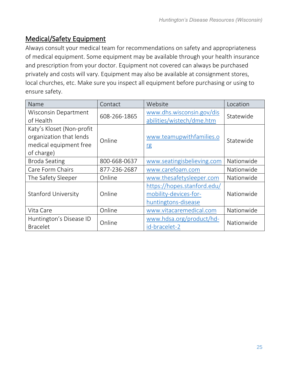# <span id="page-24-0"></span>Medical/Safety Equipment

Always consult your medical team for recommendations on safety and appropriateness of medical equipment. Some equipment may be available through your health insurance and prescription from your doctor. Equipment not covered can always be purchased privately and costs will vary. Equipment may also be available at consignment stores, local churches, etc. Make sure you inspect all equipment before purchasing or using to ensure safety.

| Name                       | Contact      | Website                     | Location   |
|----------------------------|--------------|-----------------------------|------------|
| Wisconsin Department       | 608-266-1865 | www.dhs.wisconsin.gov/dis   | Statewide  |
| of Health                  |              | abilities/wistech/dme.htm   |            |
| Katy's Kloset (Non-profit  |              |                             |            |
| organization that lends    | Online       | www.teamupwithfamilies.o    | Statewide  |
| medical equipment free     |              | <u>rg</u>                   |            |
| of charge)                 |              |                             |            |
| <b>Broda Seating</b>       | 800-668-0637 | www.seatingisbelieving.com  | Nationwide |
| Care Form Chairs           | 877-236-2687 | www.carefoam.com            | Nationwide |
| The Safety Sleeper         | Online       | www.thesafetysleeper.com    | Nationwide |
|                            |              | https://hopes.stanford.edu/ |            |
| <b>Stanford University</b> | Online       | mobility-devices-for-       | Nationwide |
|                            |              | huntingtons-disease         |            |
| Vita Care                  | Online       | www.vitacaremedical.com     | Nationwide |
| Huntington's Disease ID    | Online       | www.hdsa.org/product/hd-    |            |
| <b>Bracelet</b>            |              | id-bracelet-2               | Nationwide |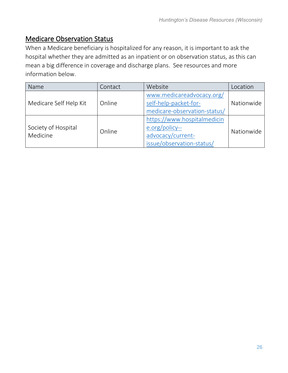## <span id="page-25-0"></span>Medicare Observation Status

When a Medicare beneficiary is hospitalized for any reason, it is important to ask the hospital whether they are admitted as an inpatient or on observation status, as this can mean a big difference in coverage and discharge plans. See resources and more information below.

| Name                            | Contact | Website                                                                                         | Location   |
|---------------------------------|---------|-------------------------------------------------------------------------------------------------|------------|
| Medicare Self Help Kit          | Online  | www.medicareadvocacy.org/<br>self-help-packet-for-<br>medicare-observation-status/              | Nationwide |
| Society of Hospital<br>Medicine | Online  | https://www.hospitalmedicin<br>e.org/policy--<br>advocacy/current-<br>issue/observation-status/ | Nationwide |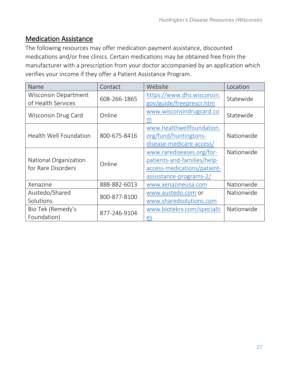## <span id="page-26-0"></span>Medication Assistance

The following resources may offer medication payment assistance, discounted medications and/or free clinics. Certain medications may be obtained free from the manufacturer with a prescription from your doctor accompanied by an application which verifies your income if they offer a Patient Assistance Program.

| Name                                        | Contact      | Website                                                                                                            | Location   |
|---------------------------------------------|--------------|--------------------------------------------------------------------------------------------------------------------|------------|
| Wisconsin Department<br>of Health Services  | 608-266-1865 | https://www.dhs.wisconsin.<br>gov/guide/freeprescr.htm                                                             | Statewide  |
| Wisconsin Drug Card                         | Online       | www.wisconsindrugcard.co<br>m                                                                                      | Statewide  |
| <b>Health Well Foundation</b>               | 800-675-8416 | www.healthwellfoundation.<br>org/fund/huntingtons-<br>disease-medicare-access/                                     | Nationwide |
| National Organization<br>for Rare Disorders | Online       | www.rarediseases.org/for-<br>patients-and-families/help-<br>access-medications/patient-<br>assisstance-programs-2/ | Nationwide |
| Xenazine                                    | 888-882-6013 | www.xenazineusa.com                                                                                                | Nationwide |
| Austedo/Shared<br>Solutions                 | 800-877-8100 | www.austedo.com or<br>www.sharedsolutions.com                                                                      | Nationwide |
| Bio Tek (Remedy's<br>Foundation)            | 877-246-9104 | www.biotekrx.com/specialti<br>es                                                                                   | Nationwide |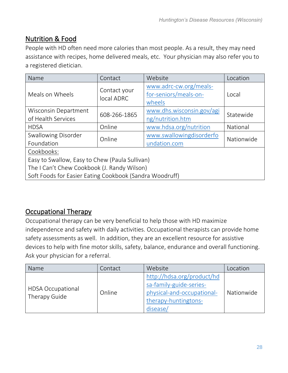# <span id="page-27-0"></span>Nutrition & Food

People with HD often need more calories than most people. As a result, they may need assistance with recipes, home delivered meals, etc. Your physician may also refer you to a registered dietician.

| Name                                                    | Contact                    | Website                                                   | Location   |  |
|---------------------------------------------------------|----------------------------|-----------------------------------------------------------|------------|--|
| Meals on Wheels                                         | Contact your<br>local ADRC | www.adrc-cw.org/meals-<br>for-seniors/meals-on-<br>wheels | Local      |  |
| <b>Wisconsin Department</b>                             | 608-266-1865               | www.dhs.wisconsin.gov/agi                                 | Statewide  |  |
| of Health Services                                      |                            | ng/nutrition.htm                                          |            |  |
| <b>HDSA</b>                                             | Online                     | www.hdsa.org/nutrition                                    | National   |  |
| Swallowing Disorder                                     | Online                     | www.swallowingdisorderfo                                  | Nationwide |  |
| Foundation                                              |                            | undation.com                                              |            |  |
| Cookbooks:                                              |                            |                                                           |            |  |
| Easy to Swallow, Easy to Chew (Paula Sullivan)          |                            |                                                           |            |  |
| The I Can't Chew Cookbook (J. Randy Wilson)             |                            |                                                           |            |  |
| Soft Foods for Easier Eating Cookbook (Sandra Woodruff) |                            |                                                           |            |  |

# <span id="page-27-1"></span>Occupational Therapy

Occupational therapy can be very beneficial to help those with HD maximize independence and safety with daily activities. Occupational therapists can provide home safety assessments as well. In addition, they are an excellent resource for assistive devices to help with fine motor skills, safety, balance, endurance and overall functioning. Ask your physician for a referral.

| Name                                      | Contact | Website                                                                                                                 | Location   |
|-------------------------------------------|---------|-------------------------------------------------------------------------------------------------------------------------|------------|
| <b>HDSA Occupational</b><br>Therapy Guide | Online  | http://hdsa.org/product/hd<br>sa-family-guide-series-<br>physical-and-occupational-<br>therapy-huntingtons-<br>disease/ | Nationwide |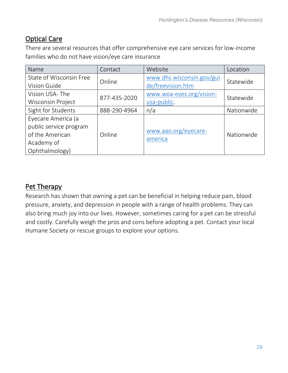# <span id="page-28-0"></span>Optical Care

There are several resources that offer comprehensive eye care services for low-income families who do not have vision/eye care insurance

| Name                     | Contact      | Website                   | Location   |
|--------------------------|--------------|---------------------------|------------|
| State of Wisconsin Free  | Online       | www.dhs.wisconsin.gov/gui | Statewide  |
| Vision Guide             |              | de/freevision.htm         |            |
| Vision USA-The           |              | www.woa-eyes.org/vision-  | Statewide  |
| <b>Wisconsin Project</b> | 877-435-2020 | usa-public.               |            |
| Sight for Students       | 888-290-4964 | n/a                       | Nationwide |
| Eyecare America (a       |              |                           |            |
| public service program   |              | www.aao.org/eyecare-      |            |
| of the American          | Online       | america                   | Nationwide |
| Academy of               |              |                           |            |
| Ophthalmology)           |              |                           |            |

# <span id="page-28-1"></span>Pet Therapy

Research has shown that owning a pet can be beneficial in helping reduce pain, blood pressure, anxiety, and depression in people with a range of health problems. They can also bring much joy into our lives. However, sometimes caring for a pet can be stressful and costly. Carefully weigh the pros and cons before adopting a pet. Contact your local Humane Society or rescue groups to explore your options.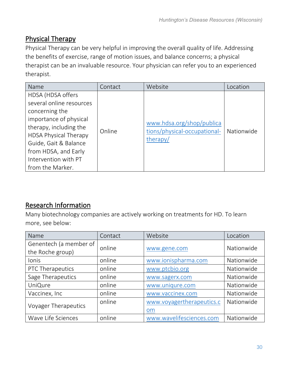# <span id="page-29-0"></span>Physical Therapy

Physical Therapy can be very helpful in improving the overall quality of life. Addressing the benefits of exercise, range of motion issues, and balance concerns; a physical therapist can be an invaluable resource. Your physician can refer you to an experienced therapist.

| Name                                                                                                                                                                                                                                             | Contact | Website                                                               | Location   |
|--------------------------------------------------------------------------------------------------------------------------------------------------------------------------------------------------------------------------------------------------|---------|-----------------------------------------------------------------------|------------|
| HDSA (HDSA offers<br>several online resources<br>concerning the<br>importance of physical<br>therapy, including the<br><b>HDSA Physical Therapy</b><br>Guide, Gait & Balance<br>from HDSA, and Early<br>Intervention with PT<br>from the Marker. | Online  | www.hdsa.org/shop/publica<br>tions/physical-occupational-<br>therapy/ | Nationwide |

# <span id="page-29-1"></span>Research Information

Many biotechnology companies are actively working on treatments for HD. To learn more, see below:

| Name                   | Contact | Website                   | Location   |
|------------------------|---------|---------------------------|------------|
| Genentech (a member of | online  | www.gene.com              | Nationwide |
| the Roche group)       |         |                           |            |
| Ionis                  | online  | www.ionispharma.com       | Nationwide |
| PTC Therapeutics       | online  | www.ptcbio.org            | Nationwide |
| Sage Therapeutics      | online  | www.sagerx.com            | Nationwide |
| UniQure                | online  | www.uniqure.com           | Nationwide |
| Vaccinex, Inc          | online  | www.vaccinex.com          | Nationwide |
|                        | online  | www.voyagertherapeutics.c | Nationwide |
| Voyager Therapeutics   |         | om                        |            |
| Wave Life Sciences     | online  | www.wavelifesciences.com  | Nationwide |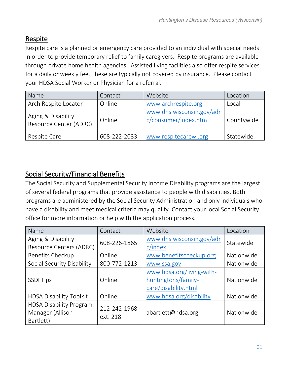# <span id="page-30-0"></span>Respite

Respite care is a planned or emergency care provided to an individual with special needs in order to provide temporary relief to family caregivers. Respite programs are available through private home health agencies. Assisted living facilities also offer respite services for a daily or weekly fee. These are typically not covered by insurance. Please contact your HDSA Social Worker or Physician for a referral.

| Name                                         | Contact      | Website                                           | Location   |
|----------------------------------------------|--------------|---------------------------------------------------|------------|
| Arch Respite Locator                         | Online       | www.archrespite.org                               | Local      |
| Aging & Disability<br>Resource Center (ADRC) | Online       | www.dhs.wisconsin.gov/adr<br>c/consumer/index.htm | Countywide |
| Respite Care                                 | 608-222-2033 | www.respitecarewi.org                             | Statewide  |

# <span id="page-30-1"></span>Social Security/Financial Benefits

The Social Security and Supplemental Security Income Disability programs are the largest of several federal programs that provide assistance to people with disabilities. Both programs are administered by the Social Security Administration and only individuals who have a disability and meet medical criteria may qualify. Contact your local Social Security office for more information or help with the application process.

| Name                           | Contact      | Website                   | Location   |
|--------------------------------|--------------|---------------------------|------------|
| Aging & Disability             |              | www.dhs.wisconsin.gov/adr |            |
| Resource Centers (ADRC)        | 608-226-1865 | c/index                   | Statewide  |
| <b>Benefits Checkup</b>        | Online       | www.benefitscheckup.org   | Nationwide |
| Social Security Disability     | 800-772-1213 | www.ssa.gov               | Nationwide |
|                                |              | www.hdsa.org/living-with- |            |
| <b>SSDI Tips</b>               | Online       | huntingtons/family-       | Nationwide |
|                                |              | care/disability.html      |            |
| <b>HDSA Disability Toolkit</b> | Online       | www.hdsa.org/disability   | Nationwide |
| <b>HDSA Disability Program</b> | 212-242-1968 |                           |            |
| Manager (Allison               | ext. 218     | abartlett@hdsa.org        | Nationwide |
| Bartlett)                      |              |                           |            |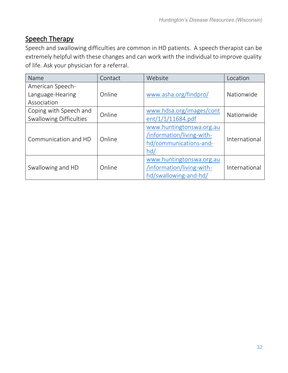# <span id="page-31-0"></span>Speech Therapy

Speech and swallowing difficulties are common in HD patients. A speech therapist can be extremely helpful with these changes and can work with the individual to improve quality of life. Ask your physician for a referral.

| Name                           | Contact | Website                   | Location      |
|--------------------------------|---------|---------------------------|---------------|
| American Speech-               |         |                           |               |
| Language-Hearing               | Online  | www.asha.org/findpro/     | Nationwide    |
| Association                    |         |                           |               |
| Coping with Speech and         | Online  | www.hdsa.org/images/cont  | Nationwide    |
| <b>Swallowing Difficulties</b> |         | ent/1/1/11684.pdf         |               |
|                                | Online  | www.huntingtonswa.org.au  | International |
| Communication and HD           |         | /information/living-with- |               |
|                                |         | hd/communications-and-    |               |
|                                |         | hd/                       |               |
|                                |         | www.huntingtonswa.org.au  |               |
| Swallowing and HD              | Online  | /information/living-with- | International |
|                                |         | hd/swallowing-and-hd/     |               |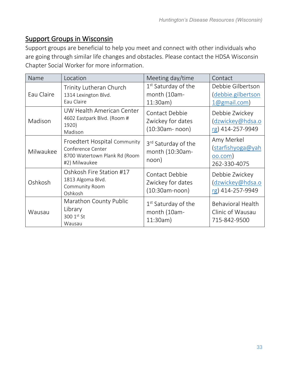## <span id="page-32-0"></span>Support Groups in Wisconsin

Support groups are beneficial to help you meet and connect with other individuals who are going through similar life changes and obstacles. Please contact the HDSA Wisconsin Chapter Social Worker for more information.

| Name       | Location                                                                                            | Meeting day/time                                            | Contact                                                          |
|------------|-----------------------------------------------------------------------------------------------------|-------------------------------------------------------------|------------------------------------------------------------------|
| Eau Claire | Trinity Lutheran Church<br>1314 Lexington Blvd.<br>Eau Claire                                       | $1st$ Saturday of the<br>month (10am-<br>11:30am)           | Debbie Gilbertson<br>debbie.gilbertson<br>$1@g$ mail.com)        |
| Madison    | UW Health American Center<br>4602 Eastpark Blvd. (Room #<br>1920)<br>Madison                        | Contact Debbie<br>Zwickey for dates<br>$(10:30am - noon)$   | Debbie Zwickey<br>dzwickey@hdsa.o<br>rg) 414-257-9949            |
| Milwaukee  | Froedtert Hospital Community<br>Conference Center<br>8700 Watertown Plank Rd (Room<br>#2) Milwaukee | 3rd Saturday of the<br>month (10:30am-<br>noon)             | Amy Merkel<br>(starfishyoga@yah<br>$00.$ com $)$<br>262-330-4075 |
| Oshkosh    | Oshkosh Fire Station #17<br>1813 Algoma Blvd.<br>Community Room<br>Oshkosh                          | Contact Debbie<br>Zwickey for dates<br>$(10:30am-noon)$     | Debbie Zwickey<br>(dzwickey@hdsa.o<br>rg) 414-257-9949           |
| Wausau     | Marathon County Public<br>Library<br>300 1st St<br>Wausau                                           | 1 <sup>st</sup> Saturday of the<br>month (10am-<br>11:30am) | <b>Behavioral Health</b><br>Clinic of Wausau<br>715-842-9500     |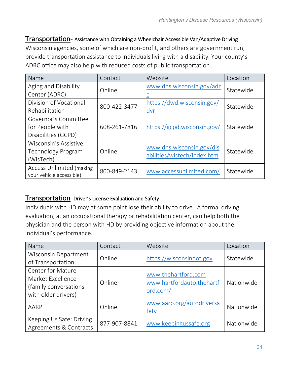#### <span id="page-33-0"></span>Transportation- Assistance with Obtaining a Wheelchair Accessible Van/Adaptive Driving

Wisconsin agencies, some of which are non-profit, and others are government run, provide transportation assistance to individuals living with a disability. Your county's ADRC office may also help with reduced costs of public transportation.

| Name                             | Contact      | Website                                                  | Location  |
|----------------------------------|--------------|----------------------------------------------------------|-----------|
| Aging and Disability             | Online       | www.dhs.wisconsin.gov/adr                                | Statewide |
| Center (ADRC)                    |              |                                                          |           |
| Division of Vocational           | 800-422-3477 | https://dwd.wisconsin.gov/                               | Statewide |
| Rehabilitation                   |              | dvr                                                      |           |
| Governor's Committee             |              |                                                          |           |
| for People with                  | 608-261-7816 | https://gcpd.wisconsin.gov/                              | Statewide |
| Disabilities (GCPD)              |              |                                                          |           |
| Wisconsin's Assistive            |              |                                                          |           |
| Technology Program               | Online       | www.dhs.wisconsin.gov/dis<br>abilities/wistech/index.htm | Statewide |
| (WisTech)                        |              |                                                          |           |
| <b>Access Unlimited (making)</b> | 800-849-2143 | www.accessunlimited.com/                                 | Statewide |
| your vehicle accessible)         |              |                                                          |           |

#### <span id="page-33-1"></span>Transportation- Driver's License Evaluation and Safety

Individuals with HD may at some point lose their ability to drive. A formal driving evaluation, at an occupational therapy or rehabilitation center, can help both the physician and the person with HD by providing objective information about the individual's performance.

| Name                                                                                          | Contact      | Website                                                      | Location   |
|-----------------------------------------------------------------------------------------------|--------------|--------------------------------------------------------------|------------|
| Wisconsin Department<br>of Transportation                                                     | Online       | https://wisconsindot.gov                                     | Statewide  |
| <b>Center for Mature</b><br>Market Excellence<br>(family conversations<br>with older drivers) | Online       | www.thehartford.com<br>www.hartfordauto.thehartf<br>ord.com/ | Nationwide |
| AARP                                                                                          | Online       | www.aarp.org/autodriversa<br>fety                            | Nationwide |
| Keeping Us Safe: Driving<br>Agreements & Contracts                                            | 877-907-8841 | www.keepingussafe.org                                        | Nationwide |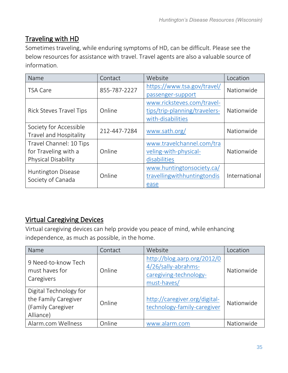# <span id="page-34-0"></span>Traveling with HD

Sometimes traveling, while enduring symptoms of HD, can be difficult. Please see the below resources for assistance with travel. Travel agents are also a valuable source of information.

| Name                           | Contact      | Website                       | Location      |
|--------------------------------|--------------|-------------------------------|---------------|
| <b>TSA Care</b>                | 855-787-2227 | https://www.tsa.gov/travel/   | Nationwide    |
|                                |              | passenger-support             |               |
|                                |              | www.ricksteves.com/travel-    |               |
| <b>Rick Steves Travel Tips</b> | Online       | tips/trip-planning/travelers- | Nationwide    |
|                                |              | with-disabilities             |               |
| Society for Accessible         | 212-447-7284 |                               | Nationwide    |
| Travel and Hospitality         |              | www.sath.org/                 |               |
| Travel Channel: 10 Tips        |              | www.travelchannel.com/tra     |               |
| for Traveling with a           | Online       | veling-with-physical-         | Nationwide    |
| Physical Disability            |              | disabilities                  |               |
|                                |              | www.huntingtonsociety.ca/     |               |
| <b>Huntington Disease</b>      | Online       | travellingwithhuntingtondis   | International |
| Society of Canada              |              | ease                          |               |

# <span id="page-34-1"></span>Virtual Caregiving Devices

Virtual caregiving devices can help provide you peace of mind, while enhancing independence, as much as possible, in the home.

| Name                                                                             | Contact | Website                                                                                     | Location   |
|----------------------------------------------------------------------------------|---------|---------------------------------------------------------------------------------------------|------------|
| 9 Need-to-know Tech<br>must haves for<br>Caregivers                              | Online  | http://blog.aarp.org/2012/0<br>4/26/sally-abrahms-<br>caregiving-technology-<br>must-haves/ | Nationwide |
| Digital Technology for<br>the Family Caregiver<br>(Family Caregiver<br>Alliance) | Online  | http://caregiver.org/digital-<br>technology-family-caregiver                                | Nationwide |
| Alarm.com Wellness                                                               | Online  | www.alarm.com                                                                               | Nationwide |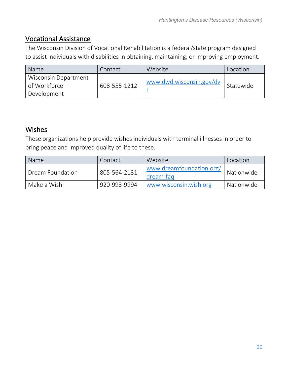## <span id="page-35-0"></span>Vocational Assistance

The Wisconsin Division of Vocational Rehabilitation is a federal/state program designed to assist individuals with disabilities in obtaining, maintaining, or improving employment.

| <b>Name</b>                                         | Contact      | Website                  | Location  |
|-----------------------------------------------------|--------------|--------------------------|-----------|
| Wisconsin Department<br>of Workforce<br>Development | 608-555-1212 | www.dwd.wisconsin.gov/dv | Statewide |

## <span id="page-35-1"></span>Wishes

These organizations help provide wishes individuals with terminal illnesses in order to bring peace and improved quality of life to these.

| <b>Name</b>      | Contact      | Website                               | Location   |
|------------------|--------------|---------------------------------------|------------|
| Dream Foundation | 805-564-2131 | www.dreamfoundation.org/<br>dream-fag | Nationwide |
| Make a Wish      | 920-993-9994 | www.wisconsin.wish.org                | Nationwide |